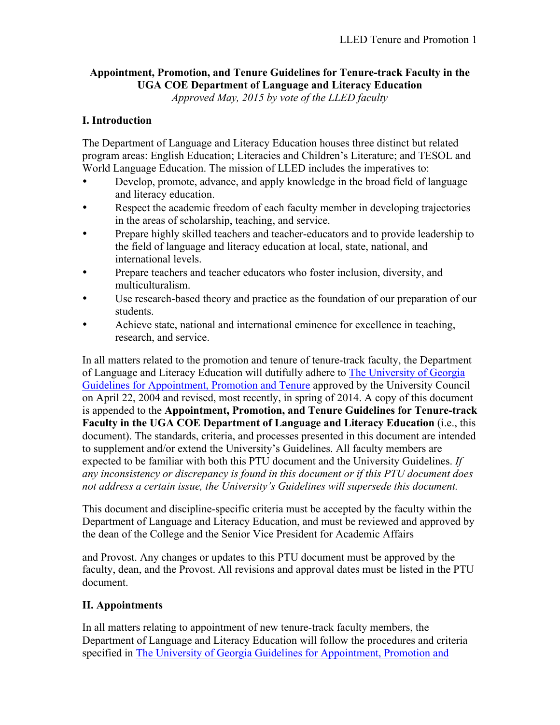# **Appointment, Promotion, and Tenure Guidelines for Tenure-track Faculty in the UGA COE Department of Language and Literacy Education**

*Approved May, 2015 by vote of the LLED faculty*

# **I. Introduction**

The Department of Language and Literacy Education houses three distinct but related program areas: English Education; Literacies and Children's Literature; and TESOL and World Language Education. The mission of LLED includes the imperatives to:

- Develop, promote, advance, and apply knowledge in the broad field of language and literacy education.
- Respect the academic freedom of each faculty member in developing trajectories in the areas of scholarship, teaching, and service.
- Prepare highly skilled teachers and teacher-educators and to provide leadership to the field of language and literacy education at local, state, national, and international levels.
- Prepare teachers and teacher educators who foster inclusion, diversity, and multiculturalism.
- Use research-based theory and practice as the foundation of our preparation of our students.
- Achieve state, national and international eminence for excellence in teaching, research, and service.

In all matters related to the promotion and tenure of tenure-track faculty, the Department of Language and Literacy Education will dutifully adhere to The University of Georgia Guidelines for Appointment, Promotion and Tenure approved by the University Council on April 22, 2004 and revised, most recently, in spring of 2014. A copy of this document is appended to the **Appointment, Promotion, and Tenure Guidelines for Tenure-track Faculty in the UGA COE Department of Language and Literacy Education** (i.e., this document). The standards, criteria, and processes presented in this document are intended to supplement and/or extend the University's Guidelines. All faculty members are expected to be familiar with both this PTU document and the University Guidelines. *If any inconsistency or discrepancy is found in this document or if this PTU document does not address a certain issue, the University's Guidelines will supersede this document.*

This document and discipline-specific criteria must be accepted by the faculty within the Department of Language and Literacy Education, and must be reviewed and approved by the dean of the College and the Senior Vice President for Academic Affairs

and Provost. Any changes or updates to this PTU document must be approved by the faculty, dean, and the Provost. All revisions and approval dates must be listed in the PTU document.

# **II. Appointments**

In all matters relating to appointment of new tenure-track faculty members, the Department of Language and Literacy Education will follow the procedures and criteria specified in The University of Georgia Guidelines for Appointment, Promotion and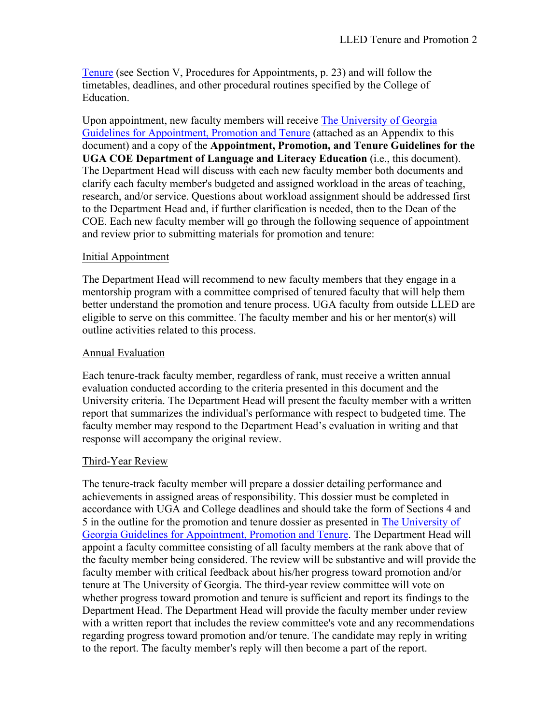Tenure (see Section V, Procedures for Appointments, p. 23) and will follow the timetables, deadlines, and other procedural routines specified by the College of Education.

Upon appointment, new faculty members will receive The University of Georgia Guidelines for Appointment, Promotion and Tenure (attached as an Appendix to this document) and a copy of the **Appointment, Promotion, and Tenure Guidelines for the UGA COE Department of Language and Literacy Education** (i.e., this document). The Department Head will discuss with each new faculty member both documents and clarify each faculty member's budgeted and assigned workload in the areas of teaching, research, and/or service. Questions about workload assignment should be addressed first to the Department Head and, if further clarification is needed, then to the Dean of the COE. Each new faculty member will go through the following sequence of appointment and review prior to submitting materials for promotion and tenure:

### Initial Appointment

The Department Head will recommend to new faculty members that they engage in a mentorship program with a committee comprised of tenured faculty that will help them better understand the promotion and tenure process. UGA faculty from outside LLED are eligible to serve on this committee. The faculty member and his or her mentor(s) will outline activities related to this process.

### Annual Evaluation

Each tenure-track faculty member, regardless of rank, must receive a written annual evaluation conducted according to the criteria presented in this document and the University criteria. The Department Head will present the faculty member with a written report that summarizes the individual's performance with respect to budgeted time. The faculty member may respond to the Department Head's evaluation in writing and that response will accompany the original review.

## Third-Year Review

The tenure-track faculty member will prepare a dossier detailing performance and achievements in assigned areas of responsibility. This dossier must be completed in accordance with UGA and College deadlines and should take the form of Sections 4 and 5 in the outline for the promotion and tenure dossier as presented in The University of Georgia Guidelines for Appointment, Promotion and Tenure. The Department Head will appoint a faculty committee consisting of all faculty members at the rank above that of the faculty member being considered. The review will be substantive and will provide the faculty member with critical feedback about his/her progress toward promotion and/or tenure at The University of Georgia. The third-year review committee will vote on whether progress toward promotion and tenure is sufficient and report its findings to the Department Head. The Department Head will provide the faculty member under review with a written report that includes the review committee's vote and any recommendations regarding progress toward promotion and/or tenure. The candidate may reply in writing to the report. The faculty member's reply will then become a part of the report.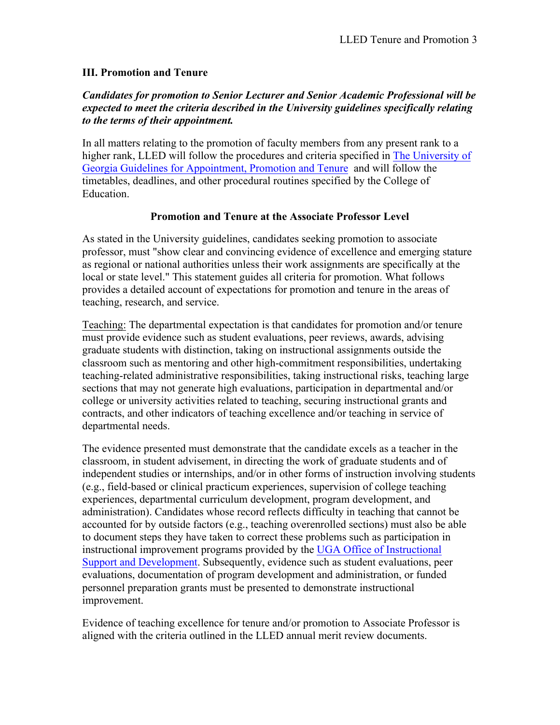#### **III. Promotion and Tenure**

### *Candidates for promotion to Senior Lecturer and Senior Academic Professional will be expected to meet the criteria described in the University guidelines specifically relating to the terms of their appointment.*

In all matters relating to the promotion of faculty members from any present rank to a higher rank, LLED will follow the procedures and criteria specified in The University of Georgia Guidelines for Appointment, Promotion and Tenure and will follow the timetables, deadlines, and other procedural routines specified by the College of **Education** 

#### **Promotion and Tenure at the Associate Professor Level**

As stated in the University guidelines, candidates seeking promotion to associate professor, must "show clear and convincing evidence of excellence and emerging stature as regional or national authorities unless their work assignments are specifically at the local or state level." This statement guides all criteria for promotion. What follows provides a detailed account of expectations for promotion and tenure in the areas of teaching, research, and service.

Teaching: The departmental expectation is that candidates for promotion and/or tenure must provide evidence such as student evaluations, peer reviews, awards, advising graduate students with distinction, taking on instructional assignments outside the classroom such as mentoring and other high-commitment responsibilities, undertaking teaching-related administrative responsibilities, taking instructional risks, teaching large sections that may not generate high evaluations, participation in departmental and/or college or university activities related to teaching, securing instructional grants and contracts, and other indicators of teaching excellence and/or teaching in service of departmental needs.

The evidence presented must demonstrate that the candidate excels as a teacher in the classroom, in student advisement, in directing the work of graduate students and of independent studies or internships, and/or in other forms of instruction involving students (e.g., field-based or clinical practicum experiences, supervision of college teaching experiences, departmental curriculum development, program development, and administration). Candidates whose record reflects difficulty in teaching that cannot be accounted for by outside factors (e.g., teaching overenrolled sections) must also be able to document steps they have taken to correct these problems such as participation in instructional improvement programs provided by the UGA Office of Instructional Support and Development. Subsequently, evidence such as student evaluations, peer evaluations, documentation of program development and administration, or funded personnel preparation grants must be presented to demonstrate instructional improvement.

Evidence of teaching excellence for tenure and/or promotion to Associate Professor is aligned with the criteria outlined in the LLED annual merit review documents.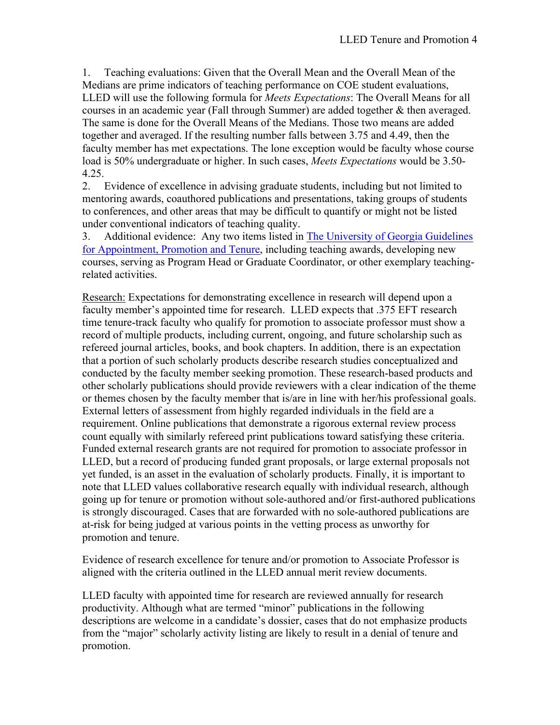1. Teaching evaluations: Given that the Overall Mean and the Overall Mean of the Medians are prime indicators of teaching performance on COE student evaluations, LLED will use the following formula for *Meets Expectations*: The Overall Means for all courses in an academic year (Fall through Summer) are added together & then averaged. The same is done for the Overall Means of the Medians. Those two means are added together and averaged. If the resulting number falls between 3.75 and 4.49, then the faculty member has met expectations. The lone exception would be faculty whose course load is 50% undergraduate or higher. In such cases, *Meets Expectations* would be 3.50- 4.25.

2. Evidence of excellence in advising graduate students, including but not limited to mentoring awards, coauthored publications and presentations, taking groups of students to conferences, and other areas that may be difficult to quantify or might not be listed under conventional indicators of teaching quality.

3. Additional evidence: Any two items listed in The University of Georgia Guidelines for Appointment, Promotion and Tenure, including teaching awards, developing new courses, serving as Program Head or Graduate Coordinator, or other exemplary teachingrelated activities.

Research: Expectations for demonstrating excellence in research will depend upon a faculty member's appointed time for research. LLED expects that .375 EFT research time tenure-track faculty who qualify for promotion to associate professor must show a record of multiple products, including current, ongoing, and future scholarship such as refereed journal articles, books, and book chapters. In addition, there is an expectation that a portion of such scholarly products describe research studies conceptualized and conducted by the faculty member seeking promotion. These research-based products and other scholarly publications should provide reviewers with a clear indication of the theme or themes chosen by the faculty member that is/are in line with her/his professional goals. External letters of assessment from highly regarded individuals in the field are a requirement. Online publications that demonstrate a rigorous external review process count equally with similarly refereed print publications toward satisfying these criteria. Funded external research grants are not required for promotion to associate professor in LLED, but a record of producing funded grant proposals, or large external proposals not yet funded, is an asset in the evaluation of scholarly products. Finally, it is important to note that LLED values collaborative research equally with individual research, although going up for tenure or promotion without sole-authored and/or first-authored publications is strongly discouraged. Cases that are forwarded with no sole-authored publications are at-risk for being judged at various points in the vetting process as unworthy for promotion and tenure.

Evidence of research excellence for tenure and/or promotion to Associate Professor is aligned with the criteria outlined in the LLED annual merit review documents.

LLED faculty with appointed time for research are reviewed annually for research productivity. Although what are termed "minor" publications in the following descriptions are welcome in a candidate's dossier, cases that do not emphasize products from the "major" scholarly activity listing are likely to result in a denial of tenure and promotion.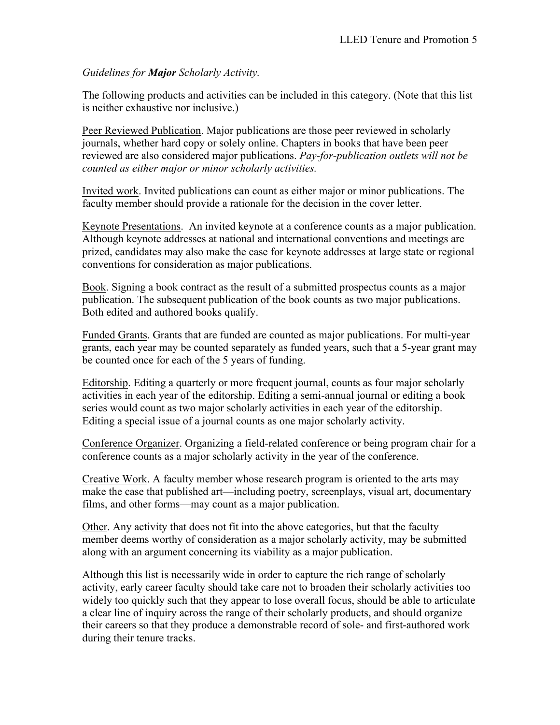*Guidelines for Major Scholarly Activity.*

The following products and activities can be included in this category. (Note that this list is neither exhaustive nor inclusive.)

Peer Reviewed Publication. Major publications are those peer reviewed in scholarly journals, whether hard copy or solely online. Chapters in books that have been peer reviewed are also considered major publications. *Pay-for-publication outlets will not be counted as either major or minor scholarly activities.*

Invited work. Invited publications can count as either major or minor publications. The faculty member should provide a rationale for the decision in the cover letter.

Keynote Presentations. An invited keynote at a conference counts as a major publication. Although keynote addresses at national and international conventions and meetings are prized, candidates may also make the case for keynote addresses at large state or regional conventions for consideration as major publications.

Book. Signing a book contract as the result of a submitted prospectus counts as a major publication. The subsequent publication of the book counts as two major publications. Both edited and authored books qualify.

Funded Grants. Grants that are funded are counted as major publications. For multi-year grants, each year may be counted separately as funded years, such that a 5-year grant may be counted once for each of the 5 years of funding.

Editorship. Editing a quarterly or more frequent journal, counts as four major scholarly activities in each year of the editorship. Editing a semi-annual journal or editing a book series would count as two major scholarly activities in each year of the editorship. Editing a special issue of a journal counts as one major scholarly activity.

Conference Organizer. Organizing a field-related conference or being program chair for a conference counts as a major scholarly activity in the year of the conference.

Creative Work. A faculty member whose research program is oriented to the arts may make the case that published art—including poetry, screenplays, visual art, documentary films, and other forms—may count as a major publication.

Other. Any activity that does not fit into the above categories, but that the faculty member deems worthy of consideration as a major scholarly activity, may be submitted along with an argument concerning its viability as a major publication.

Although this list is necessarily wide in order to capture the rich range of scholarly activity, early career faculty should take care not to broaden their scholarly activities too widely too quickly such that they appear to lose overall focus, should be able to articulate a clear line of inquiry across the range of their scholarly products, and should organize their careers so that they produce a demonstrable record of sole- and first-authored work during their tenure tracks.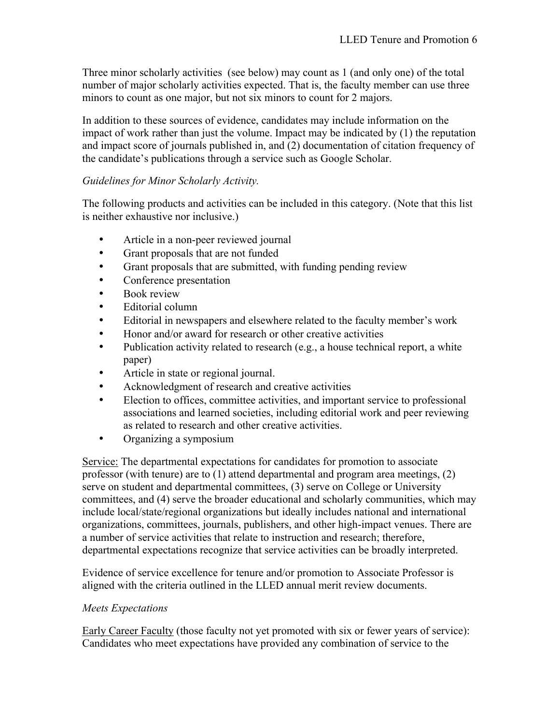Three minor scholarly activities (see below) may count as 1 (and only one) of the total number of major scholarly activities expected. That is, the faculty member can use three minors to count as one major, but not six minors to count for 2 majors.

In addition to these sources of evidence, candidates may include information on the impact of work rather than just the volume. Impact may be indicated by (1) the reputation and impact score of journals published in, and (2) documentation of citation frequency of the candidate's publications through a service such as Google Scholar.

# *Guidelines for Minor Scholarly Activity.*

The following products and activities can be included in this category. (Note that this list is neither exhaustive nor inclusive.)

- Article in a non-peer reviewed journal
- Grant proposals that are not funded
- Grant proposals that are submitted, with funding pending review
- Conference presentation
- Book review
- Editorial column
- Editorial in newspapers and elsewhere related to the faculty member's work
- Honor and/or award for research or other creative activities
- Publication activity related to research (e.g., a house technical report, a white paper)
- Article in state or regional journal.
- Acknowledgment of research and creative activities
- Election to offices, committee activities, and important service to professional associations and learned societies, including editorial work and peer reviewing as related to research and other creative activities.
- Organizing a symposium

Service: The departmental expectations for candidates for promotion to associate professor (with tenure) are to (1) attend departmental and program area meetings, (2) serve on student and departmental committees, (3) serve on College or University committees, and (4) serve the broader educational and scholarly communities, which may include local/state/regional organizations but ideally includes national and international organizations, committees, journals, publishers, and other high-impact venues. There are a number of service activities that relate to instruction and research; therefore, departmental expectations recognize that service activities can be broadly interpreted.

Evidence of service excellence for tenure and/or promotion to Associate Professor is aligned with the criteria outlined in the LLED annual merit review documents.

## *Meets Expectations*

Early Career Faculty (those faculty not yet promoted with six or fewer years of service): Candidates who meet expectations have provided any combination of service to the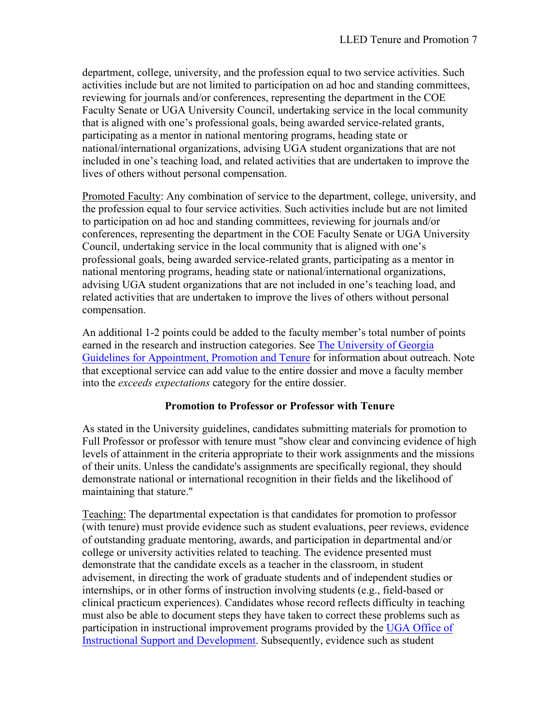department, college, university, and the profession equal to two service activities. Such activities include but are not limited to participation on ad hoc and standing committees, reviewing for journals and/or conferences, representing the department in the COE Faculty Senate or UGA University Council, undertaking service in the local community that is aligned with one's professional goals, being awarded service-related grants, participating as a mentor in national mentoring programs, heading state or national/international organizations, advising UGA student organizations that are not included in one's teaching load, and related activities that are undertaken to improve the lives of others without personal compensation.

Promoted Faculty: Any combination of service to the department, college, university, and the profession equal to four service activities. Such activities include but are not limited to participation on ad hoc and standing committees, reviewing for journals and/or conferences, representing the department in the COE Faculty Senate or UGA University Council, undertaking service in the local community that is aligned with one's professional goals, being awarded service-related grants, participating as a mentor in national mentoring programs, heading state or national/international organizations, advising UGA student organizations that are not included in one's teaching load, and related activities that are undertaken to improve the lives of others without personal compensation.

An additional 1-2 points could be added to the faculty member's total number of points earned in the research and instruction categories. See The University of Georgia Guidelines for Appointment, Promotion and Tenure for information about outreach. Note that exceptional service can add value to the entire dossier and move a faculty member into the *exceeds expectations* category for the entire dossier.

## **Promotion to Professor or Professor with Tenure**

As stated in the University guidelines, candidates submitting materials for promotion to Full Professor or professor with tenure must "show clear and convincing evidence of high levels of attainment in the criteria appropriate to their work assignments and the missions of their units. Unless the candidate's assignments are specifically regional, they should demonstrate national or international recognition in their fields and the likelihood of maintaining that stature."

Teaching: The departmental expectation is that candidates for promotion to professor (with tenure) must provide evidence such as student evaluations, peer reviews, evidence of outstanding graduate mentoring, awards, and participation in departmental and/or college or university activities related to teaching. The evidence presented must demonstrate that the candidate excels as a teacher in the classroom, in student advisement, in directing the work of graduate students and of independent studies or internships, or in other forms of instruction involving students (e.g., field-based or clinical practicum experiences). Candidates whose record reflects difficulty in teaching must also be able to document steps they have taken to correct these problems such as participation in instructional improvement programs provided by the UGA Office of Instructional Support and Development. Subsequently, evidence such as student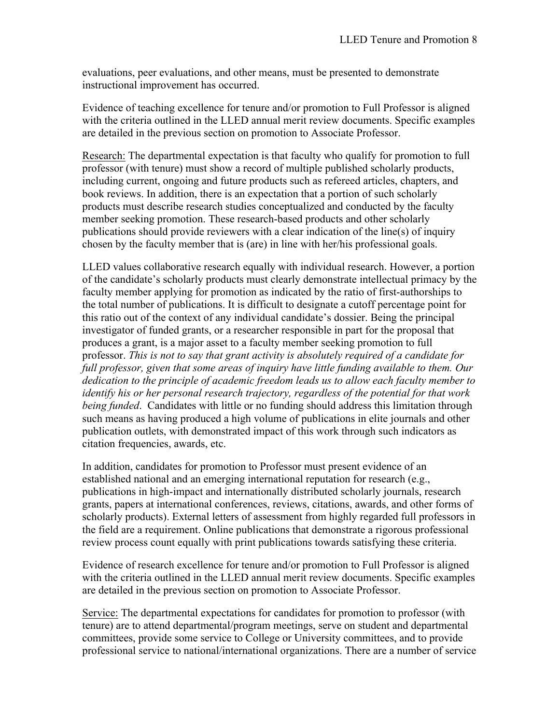evaluations, peer evaluations, and other means, must be presented to demonstrate instructional improvement has occurred.

Evidence of teaching excellence for tenure and/or promotion to Full Professor is aligned with the criteria outlined in the LLED annual merit review documents. Specific examples are detailed in the previous section on promotion to Associate Professor.

Research: The departmental expectation is that faculty who qualify for promotion to full professor (with tenure) must show a record of multiple published scholarly products, including current, ongoing and future products such as refereed articles, chapters, and book reviews. In addition, there is an expectation that a portion of such scholarly products must describe research studies conceptualized and conducted by the faculty member seeking promotion. These research-based products and other scholarly publications should provide reviewers with a clear indication of the line(s) of inquiry chosen by the faculty member that is (are) in line with her/his professional goals.

LLED values collaborative research equally with individual research. However, a portion of the candidate's scholarly products must clearly demonstrate intellectual primacy by the faculty member applying for promotion as indicated by the ratio of first-authorships to the total number of publications. It is difficult to designate a cutoff percentage point for this ratio out of the context of any individual candidate's dossier. Being the principal investigator of funded grants, or a researcher responsible in part for the proposal that produces a grant, is a major asset to a faculty member seeking promotion to full professor. *This is not to say that grant activity is absolutely required of a candidate for full professor, given that some areas of inquiry have little funding available to them. Our dedication to the principle of academic freedom leads us to allow each faculty member to identify his or her personal research trajectory, regardless of the potential for that work being funded*. Candidates with little or no funding should address this limitation through such means as having produced a high volume of publications in elite journals and other publication outlets, with demonstrated impact of this work through such indicators as citation frequencies, awards, etc.

In addition, candidates for promotion to Professor must present evidence of an established national and an emerging international reputation for research (e.g., publications in high-impact and internationally distributed scholarly journals, research grants, papers at international conferences, reviews, citations, awards, and other forms of scholarly products). External letters of assessment from highly regarded full professors in the field are a requirement. Online publications that demonstrate a rigorous professional review process count equally with print publications towards satisfying these criteria.

Evidence of research excellence for tenure and/or promotion to Full Professor is aligned with the criteria outlined in the LLED annual merit review documents. Specific examples are detailed in the previous section on promotion to Associate Professor.

Service: The departmental expectations for candidates for promotion to professor (with tenure) are to attend departmental/program meetings, serve on student and departmental committees, provide some service to College or University committees, and to provide professional service to national/international organizations. There are a number of service